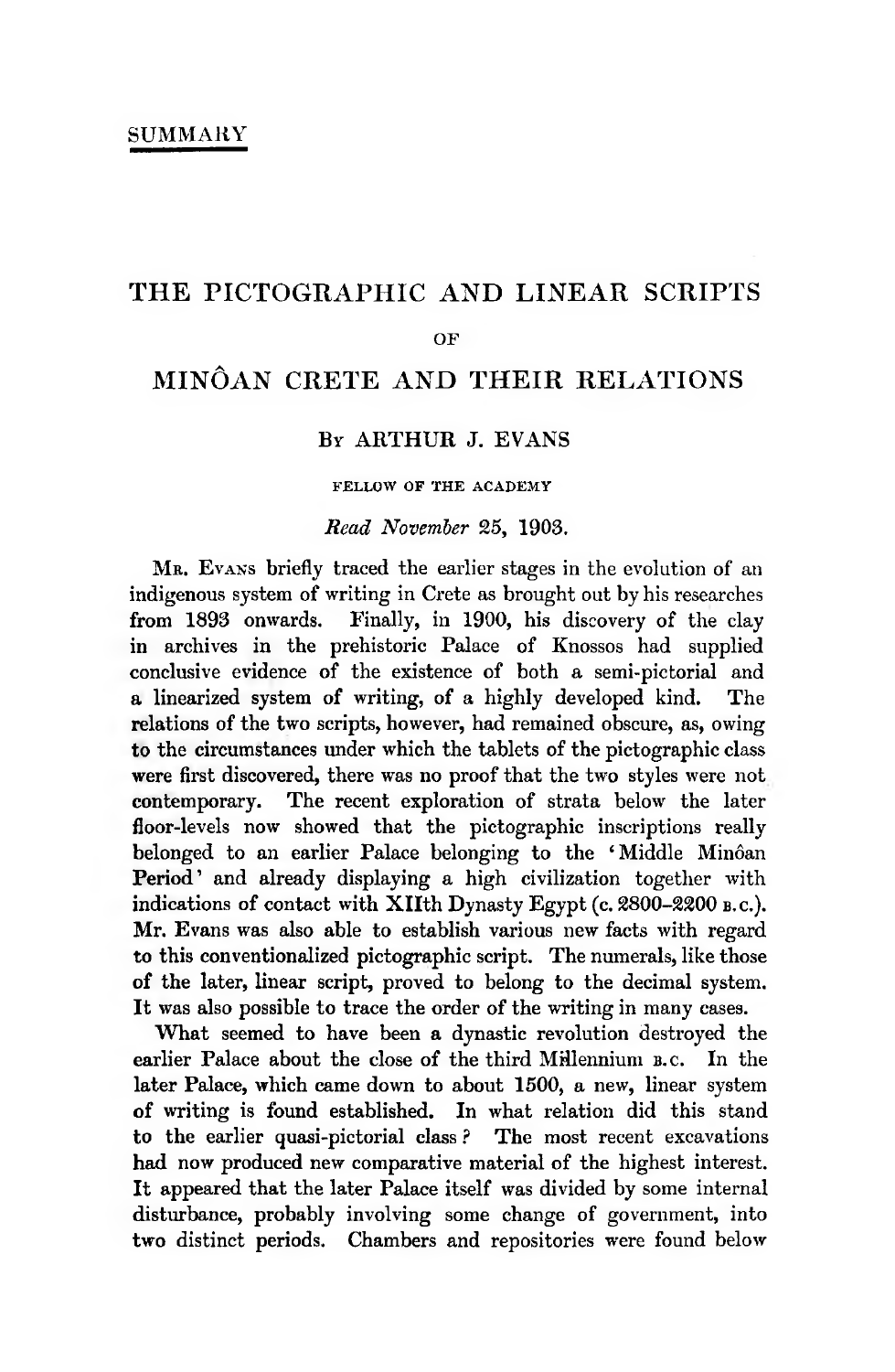# **THE PICTOGRAPHIC AND LINEAR SCRIPTS**

#### **OF**

## **MINÔAN CRETE AND THEIR RELATIONS**

## **BY ARTHUR J. EVANS**

**FELLOW OF THE ACADEMY**

#### *Read November* 25, 1903.

**Mr. <sup>E</sup> v a n s** briefly traced the earlier stages in the evolution of an indigenous system of writing in Crete as brought out by his researches from 1893 onwards. Finally, in 1900, his discovery of the clay in archives in the prehistoric Palace of Knossos had supplied conclusive evidence of the existence of both a semi-pictorial and a linearized system of writing, of a highly developed kind. The relations of the two scripts, however, had remained obscure, as, owing to the circumstances under which the tablets of the pictographic class were first discovered, there was no proof that the two styles were not contemporary. The recent exploration of strata below the later floor-levels now showed that the pictographic inscriptions really belonged to an earlier Palace belonging to the ' Middle Minôan Period' and already displaying a high civilization together with indications of contact with XIIth Dynasty Egypt (c. 2800–2200 b.c.). Mr. Evans was also able to establish various new facts with regard to this conventionalized pictographic script. The numerals, like those of the later, linear script, proved to belong to the decimal system. It was also possible to trace the order of the writing in many cases.

What seemed to have been a dynastic revolution destroyed the earlier Palace about the close of the third Millennium **b. <sup>c</sup> .** In the later Palace, which came down to about 1500, a new, linear system of writing is found established. In what relation did this stand to the earlier quasi-pictorial class? The most recent excavations had now produced new comparative material of the highest interest. It appeared that the later Palace itself was divided by some internal disturbance, probably involving some change of government, into two distinct periods. Chambers and repositories were found below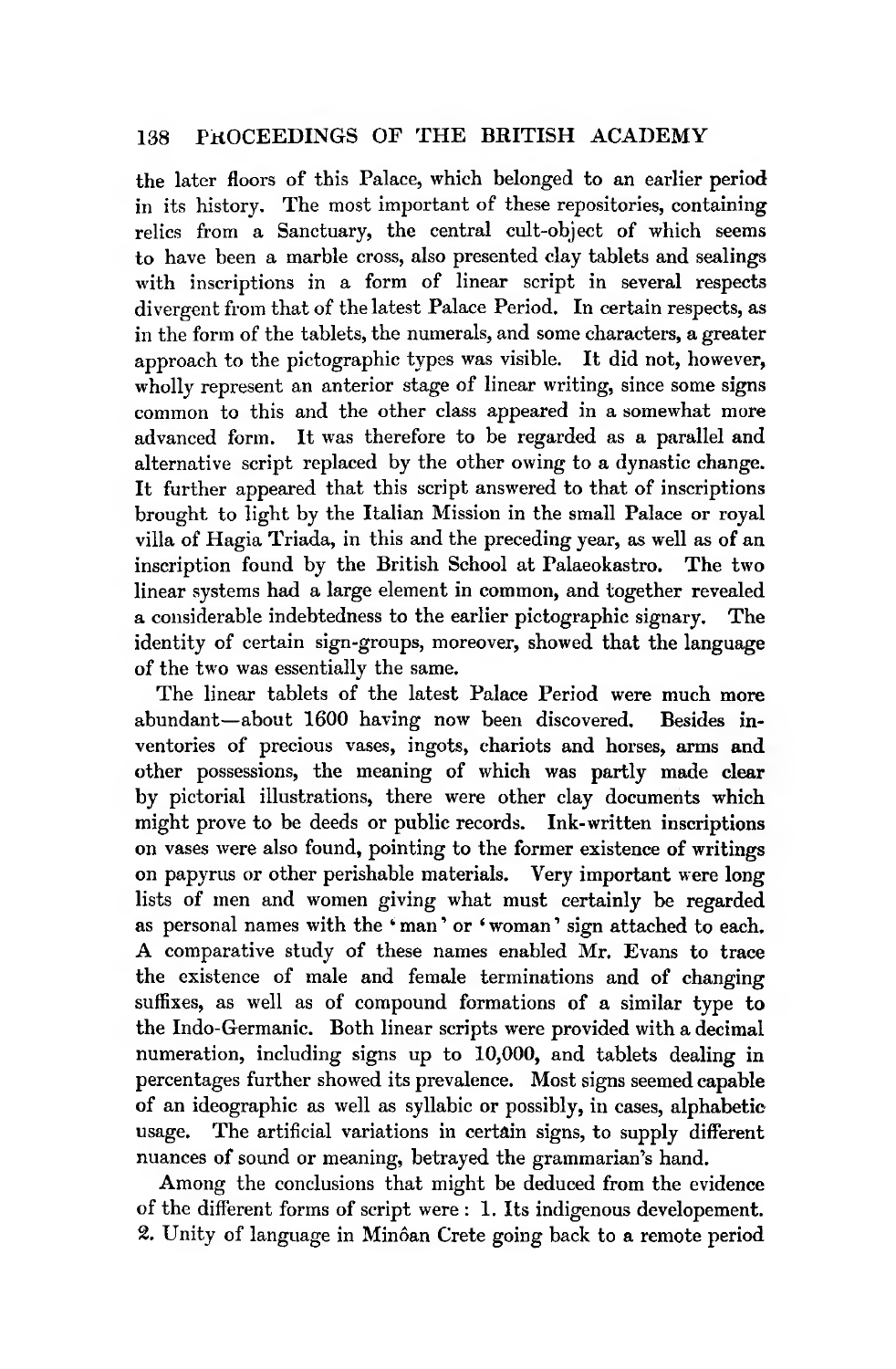### 138 PROCEEDINGS OF THE BRITISH ACADEMY

the later floors of this Palace, which belonged to an earlier period in its history. The most important of these repositories, containing relics from a Sanctuary, the central cult-object of which seems to have been a marble cross, also presented clay tablets and sealings with inscriptions in a form of linear script in several respects divergent from that of the latest Palace Period. In certain respects, as in the form of the tablets, the numerals, and some characters, a greater approach to the pictographic types was visible. It did not, however, wholly represent an anterior stage of linear writing, since some signs common to this and the other class appeared in a somewhat more advanced form. It was therefore to be regarded as a parallel and alternative script replaced by the other owing to a dynastic change. It further appeared that this script answered to that of inscriptions brought to light by the Italian Mission in the small Palace or royal villa of Hagia Triada, in this and the preceding year, as well as of an inscription found by the British School at Palaeokastro. The two linear systems had a large element in common, and together revealed a considerable indebtedness to the earlier pictographic signary. The identity of certain sign-groups, moreover, showed that the language of the two was essentially the same.

The linear tablets of the latest Palace Period were much more abundant—about 1600 having now been discovered. Besides inventories of precious vases, ingots, chariots and horses, arms and other possessions, the meaning of which was partly made clear by pictorial illustrations, there were other clay documents which might prove to be deeds or public records. Ink-written inscriptions on vases were also found, pointing to the former existence of writings on papyrus or other perishable materials. Very important were long lists of men and women giving what must certainly be regarded as personal names with the 'man' or 'woman' sign attached to each. A comparative study of these names enabled Mr. Evans to trace the existence of male and female terminations and of changing suffixes, as well as of compound formations of a similar type to the Indo-Germanic. Both linear scripts were provided with a decimal numeration, including signs up to 10,000, and tablets dealing in percentages further showed its prevalence. Most signs seemed capable of an ideographic as well as syllabic or possibly, in cases, alphabeticusage. The artificial variations in certain signs, to supply different nuances of sound or meaning, betrayed the grammarian's hand.

Among the conclusions that might be deduced from the evidence of the different forms of script were : 1. Its indigenous developement. 2. Unity of language in Minôan Crete going back to a remote period